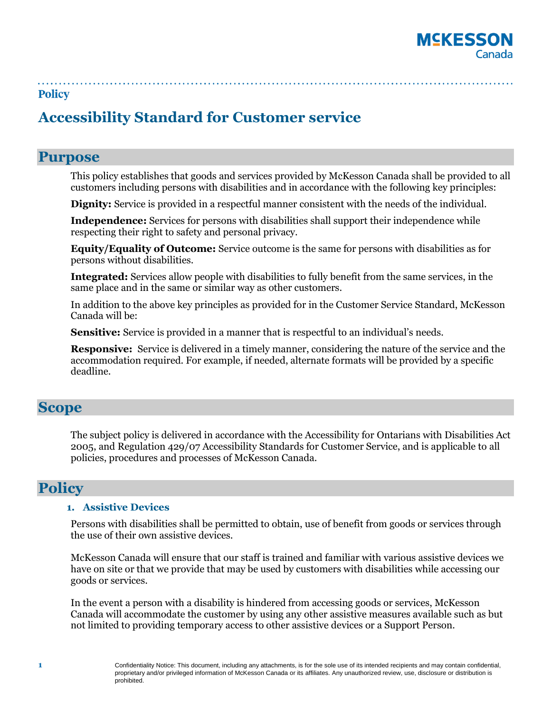

# **Accessibility Standard for Customer service**

# **Purpose**

This policy establishes that goods and services provided by McKesson Canada shall be provided to all customers including persons with disabilities and in accordance with the following key principles:

**Dignity:** Service is provided in a respectful manner consistent with the needs of the individual.

**Independence:** Services for persons with disabilities shall support their independence while respecting their right to safety and personal privacy.

**Equity/Equality of Outcome:** Service outcome is the same for persons with disabilities as for persons without disabilities.

**Integrated:** Services allow people with disabilities to fully benefit from the same services, in the same place and in the same or similar way as other customers.

In addition to the above key principles as provided for in the Customer Service Standard, McKesson Canada will be:

**Sensitive:** Service is provided in a manner that is respectful to an individual's needs.

**Responsive:** Service is delivered in a timely manner, considering the nature of the service and the accommodation required. For example, if needed, alternate formats will be provided by a specific deadline.

# **Scope**

The subject policy is delivered in accordance with the Accessibility for Ontarians with Disabilities Act 2005, and Regulation 429/07 Accessibility Standards for Customer Service, and is applicable to all policies, procedures and processes of McKesson Canada.

# **Policy**

#### **1. Assistive Devices**

Persons with disabilities shall be permitted to obtain, use of benefit from goods or services through the use of their own assistive devices.

McKesson Canada will ensure that our staff is trained and familiar with various assistive devices we have on site or that we provide that may be used by customers with disabilities while accessing our goods or services.

In the event a person with a disability is hindered from accessing goods or services, McKesson Canada will accommodate the customer by using any other assistive measures available such as but not limited to providing temporary access to other assistive devices or a Support Person.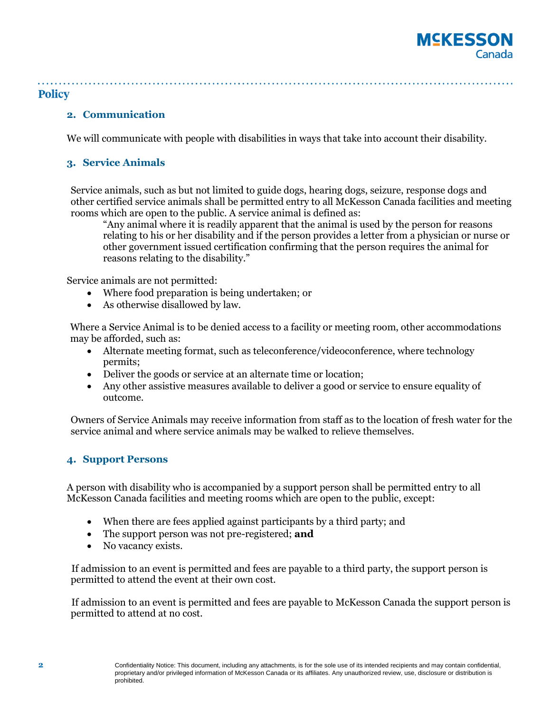# **MCKESSON** Canada

#### **Policy**

#### **2. Communication**

We will communicate with people with disabilities in ways that take into account their disability.

#### **3. Service Animals**

Service animals, such as but not limited to guide dogs, hearing dogs, seizure, response dogs and other certified service animals shall be permitted entry to all McKesson Canada facilities and meeting rooms which are open to the public. A service animal is defined as:

"Any animal where it is readily apparent that the animal is used by the person for reasons relating to his or her disability and if the person provides a letter from a physician or nurse or other government issued certification confirming that the person requires the animal for reasons relating to the disability."

Service animals are not permitted:

- Where food preparation is being undertaken; or
- As otherwise disallowed by law.

Where a Service Animal is to be denied access to a facility or meeting room, other accommodations may be afforded, such as:

- Alternate meeting format, such as teleconference/videoconference, where technology permits;
- Deliver the goods or service at an alternate time or location;
- Any other assistive measures available to deliver a good or service to ensure equality of outcome.

Owners of Service Animals may receive information from staff as to the location of fresh water for the service animal and where service animals may be walked to relieve themselves.

#### **4. Support Persons**

A person with disability who is accompanied by a support person shall be permitted entry to all McKesson Canada facilities and meeting rooms which are open to the public, except:

- When there are fees applied against participants by a third party; and
- The support person was not pre-registered; **and**
- No vacancy exists.

If admission to an event is permitted and fees are payable to a third party, the support person is permitted to attend the event at their own cost.

If admission to an event is permitted and fees are payable to McKesson Canada the support person is permitted to attend at no cost.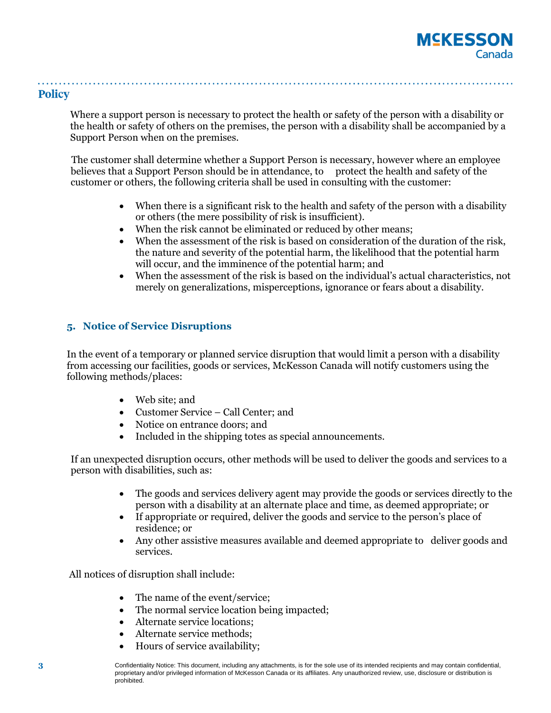Where a support person is necessary to protect the health or safety of the person with a disability or the health or safety of others on the premises, the person with a disability shall be accompanied by a Support Person when on the premises.

The customer shall determine whether a Support Person is necessary, however where an employee believes that a Support Person should be in attendance, to protect the health and safety of the customer or others, the following criteria shall be used in consulting with the customer:

- When there is a significant risk to the health and safety of the person with a disability or others (the mere possibility of risk is insufficient).
- When the risk cannot be eliminated or reduced by other means;
- When the assessment of the risk is based on consideration of the duration of the risk, the nature and severity of the potential harm, the likelihood that the potential harm will occur, and the imminence of the potential harm; and
- When the assessment of the risk is based on the individual's actual characteristics, not merely on generalizations, misperceptions, ignorance or fears about a disability.

## **5. Notice of Service Disruptions**

In the event of a temporary or planned service disruption that would limit a person with a disability from accessing our facilities, goods or services, McKesson Canada will notify customers using the following methods/places:

- Web site; and
- Customer Service Call Center; and
- Notice on entrance doors; and
- Included in the shipping totes as special announcements.

If an unexpected disruption occurs, other methods will be used to deliver the goods and services to a person with disabilities, such as:

- The goods and services delivery agent may provide the goods or services directly to the person with a disability at an alternate place and time, as deemed appropriate; or
- If appropriate or required, deliver the goods and service to the person's place of residence; or
- Any other assistive measures available and deemed appropriate to deliver goods and services.

All notices of disruption shall include:

- The name of the event/service;
- The normal service location being impacted;
- Alternate service locations;
- Alternate service methods;
- Hours of service availability;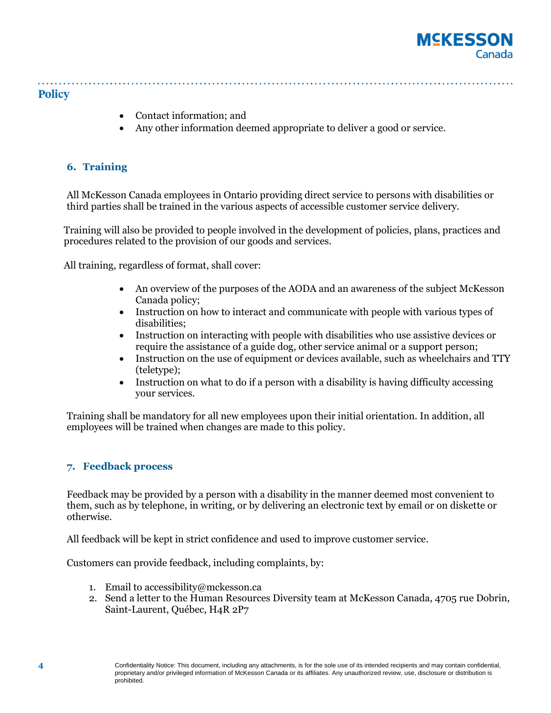

- Contact information; and
- Any other information deemed appropriate to deliver a good or service.

### **6. Training**

All McKesson Canada employees in Ontario providing direct service to persons with disabilities or third parties shall be trained in the various aspects of accessible customer service delivery.

Training will also be provided to people involved in the development of policies, plans, practices and procedures related to the provision of our goods and services.

All training, regardless of format, shall cover:

- An overview of the purposes of the AODA and an awareness of the subject McKesson Canada policy;
- Instruction on how to interact and communicate with people with various types of disabilities;
- Instruction on interacting with people with disabilities who use assistive devices or require the assistance of a guide dog, other service animal or a support person;
- Instruction on the use of equipment or devices available, such as wheelchairs and TTY (teletype);
- Instruction on what to do if a person with a disability is having difficulty accessing your services.

Training shall be mandatory for all new employees upon their initial orientation. In addition, all employees will be trained when changes are made to this policy.

#### **7. Feedback process**

Feedback may be provided by a person with a disability in the manner deemed most convenient to them, such as by telephone, in writing, or by delivering an electronic text by email or on diskette or otherwise.

All feedback will be kept in strict confidence and used to improve customer service.

Customers can provide feedback, including complaints, by:

- 1. Email t[o accessibility@mckesson.ca](mailto:accessibility@mckesson.ca)
- 2. Send a letter to the Human Resources Diversity team at McKesson Canada, 4705 rue Dobrin, Saint-Laurent, Québec, H4R 2P7